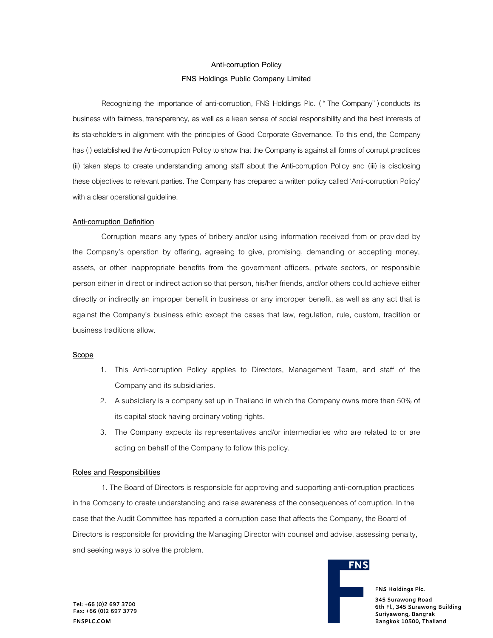### **Anti-corruption Policy**

### **FNS Holdings Public Company Limited**

Recognizing the importance of anti-corruption, FNS Holdings Plc. ("The Company") conducts its business with fairness, transparency, as well as a keen sense of social responsibility and the best interests of its stakeholders in alignment with the principles of Good Corporate Governance. To this end, the Company has (i) established the Anti-corruption Policy to show that the Company is against all forms of corrupt practices (ii) taken steps to create understanding among staff about the Anti-corruption Policy and (iii) is disclosing these objectives to relevant parties. The Company has prepared a written policycalled 'Anti-corruption Policy' with a clear operational guideline.

# **Anti-corruption Definition**

Corruption means any types of bribery and/or using information received from or provided by the Company's operation by offering, agreeing to give, promising, demanding or accepting money, assets, or other inappropriate benefits from the government officers, private sectors, or responsible person either in direct or indirect action so that person, his/her friends, and/or others could achieve either directly or indirectly an improper benefit in business or any improper benefit, as well as any act that is against the Company's business ethic except the cases that law, regulation, rule, custom, tradition or business traditions allow.

# **Scope**

- 1. This Anti-corruption Policy applies to Directors, Management Team, and staff of the Company and its subsidiaries.
- 2. A subsidiary is a company set up in Thailand in which the Company owns more than 50% of its capital stock having ordinary voting rights.
- 3. The Company expects its representatives and/or intermediaries who are related to or are acting on behalf of the Company to follow this policy.

# **Roles and Responsibilities**

1. The Board of Directors is responsible for approving and supporting anti-corruption practices in the Company to create understanding and raise awareness of the consequences of corruption. In the case that the Audit Committee has reported a corruption case that affects the Company, the Board of Directors is responsible for providing the Managing Director with counsel and advise, assessing penalty, and seeking ways to solve the problem.



FNS Holdings Plc.

345 Surawong Road 6th Fl., 345 Surawong Building Suriyawong, Bangrak Bangkok 10500, Thailand

Tel: +66 (0)2 697 3700 Fax: +66 (0)2 697 3779 FNSPLC.COM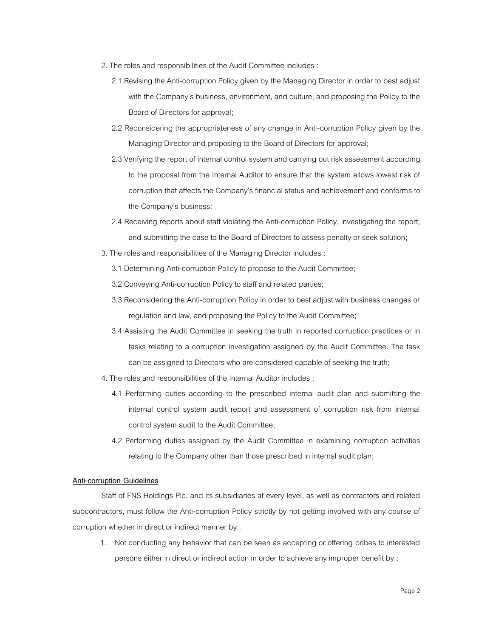- 2. The roles and responsibilities of the Audit Committee includes :
	- 2.1 Revising the Anti-corruption Policy given by the Managing Director in order to best adjust with the Company's business, environment, and culture, and proposing the Policy to the Board of Directors for approval;
	- 2.2 Reconsidering the appropriateness of any change in Anti-corruption Policy given by the Managing Director and proposing to the Board of Directors for approval;
	- 2.3 Verifying the report of internal control system and carrying out risk assessment according to the proposal from the Internal Auditor to ensure that the system allows lowest risk of corruption that affects the Company's financial status and achievement and conforms to the Company's business;
	- 2.4 Receiving reports about staff violating the Anti-corruption Policy, investigating the report, and submitting the case to the Board of Directors to assess penalty or seek solution;
- 3. The roles and responsibilities of the Managing Director includes :
	- 3.1 Determining Anti-corruption Policy to propose to the Audit Committee;
	- 3.2 Conveying Anti-corruption Policy to staffand related parties;
	- 3.3 Reconsidering the Anti-corruption Policy in order to best adjust with business changes or regulation and law, and proposing the Policy to the Audit Committee;
	- 3.4 Assisting the Audit Committee in seeking the truth in reported corruption practices or in tasks relating to a corruption investigation assigned by the Audit Committee. The task can be assigned to Directors who are considered capable of seeking the truth;
- 4.The roles and responsibilities of the Internal Auditor includes :
	- 4.1 Performing duties according to the prescribed internal audit plan and submitting the internal control system audit report and assessment of corruption risk from internal control system audit to the Audit Committee;
	- 4.2 Performing duties assigned by the Audit Committee in examining corruption activities relating to the Company other than those prescribed in internal audit plan;

# **Anti-corruption Guidelines**

Staff of FNS Holdings Plc. and its subsidiaries at every level, as well as contractors and related subcontractors, must follow the Anti-corruption Policy strictly by not getting involved with any course of corruption whether in direct or indirect manner by :

1. Not conducting any behavior that can be seen as accepting or offering bribes to interested persons either in direct or indirect action in order to achieve any improper benefit by :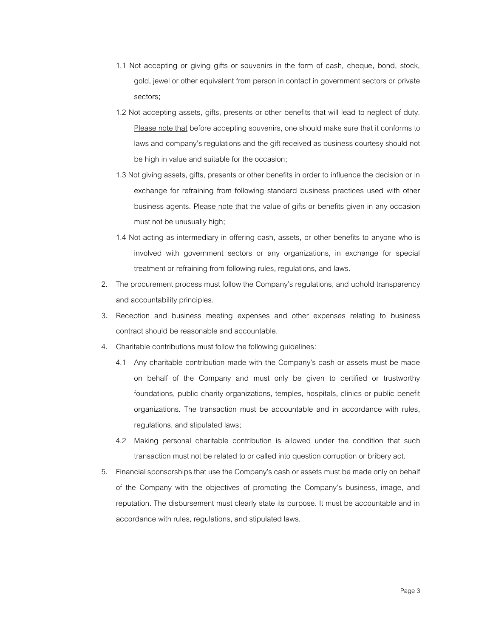- 1.1 Not accepting or giving gifts or souvenirs in the form of cash, cheque, bond, stock, gold, jewel or other equivalent from person in contact in government sectors or private sectors;
- 1.2 Not accepting assets, gifts, presents or other benefits that will lead to neglect of duty. Please note that before accepting souvenirs, one should make sure that it conforms to laws and company's regulations and the gift received as business courtesy should not be high in value and suitable for the occasion;
- 1.3 Not giving assets, gifts, presents or other benefits in order to influence the decision or in exchange for refraining from following standard business practices used with other business agents. Please note that the value of gifts or benefits given in any occasion must not be unusually high;
- 1.4 Not acting as intermediary in offering cash, assets, or other benefits to anyone who is involved with government sectors or any organizations, in exchange for special treatment or refraining from following rules, regulations, and laws.
- 2. The procurement process must follow the Company's regulations, and uphold transparency and accountability principles.
- 3. Reception and business meeting expenses and other expenses relating to business contract should be reasonable and accountable.
- 4. Charitable contributions must follow the following guidelines:
	- 4.1 Any charitable contribution made with the Company's cash or assets must be made on behalf of the Company and must only be given to certified or trustworthy foundations, public charity organizations, temples, hospitals, clinics or public benefit organizations. The transaction must be accountable and in accordance with rules, regulations, and stipulated laws;
	- 4.2 Making personal charitable contribution is allowed under the condition that such transaction must not be related to or called into question corruption or bribery act.
- 5. Financial sponsorships that use the Company's cash or assets must be made only on behalf of the Company with the objectives of promoting the Company's business, image, and reputation. The disbursement must clearly state its purpose. It must be accountable and in accordance with rules, regulations, and stipulated laws.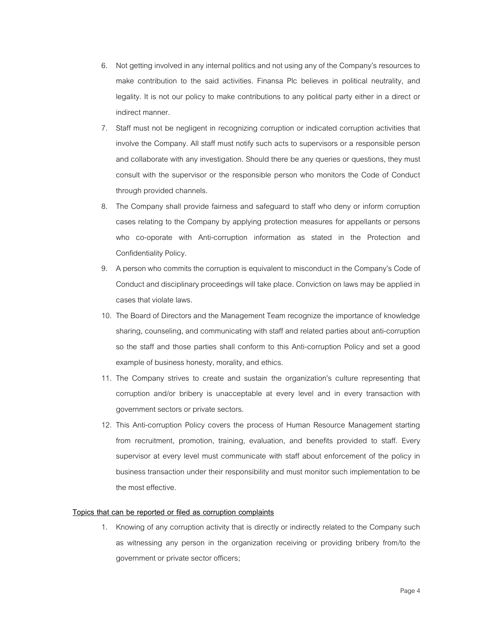- 6. Not getting involved in any internal politics and not using any of the Company's resources to make contribution to the said activities. Finansa Plc believes in political neutrality, and legality. It is not our policy to make contributions to any political party either in a direct or indirect manner.
- 7. Staff must not be negligent in recognizing corruption or indicated corruption activities that involve the Company. All staff must notify such acts to supervisors or a responsible person and collaborate with any investigation. Should there be any queries or questions, they must consult with the supervisor or the responsible person who monitors the Code of Conduct through provided channels.
- 8. The Company shall provide fairness and safeguard to staff who deny or inform corruption cases relating to the Company by applying protection measures for appellants or persons who co-oporate with Anti-corruption information as stated in the Protection and Confidentiality Policy.
- 9. A person who commits the corruption is equivalent to misconduct in the Company's Code of Conduct and disciplinary proceedings will take place. Conviction on laws may be applied in cases that violate laws.
- 10. The Board of Directors and the Management Team recognize the importance of knowledge sharing, counseling, and communicating with staff and related parties about anti-corruption so the staff and those parties shall conform to this Anti-corruption Policy and set a good example of business honesty, morality, and ethics.
- 11. The Company strives to create and sustain the organization's culture representing that corruption and/or bribery is unacceptable at every level and in every transaction with government sectors or private sectors.
- 12. This Anti-corruption Policy covers the process of Human Resource Management starting from recruitment, promotion, training, evaluation, and benefits provided to staff. Every supervisor at every level must communicate with staff about enforcement of the policy in business transaction under their responsibility and must monitor such implementation to be the most effective.

#### **Topics that can be reported or filed as corruption complaints**

1. Knowing of any corruption activity that is directly or indirectly related to the Company such as witnessing any person in the organization receiving or providing bribery from/to the government or private sector officers;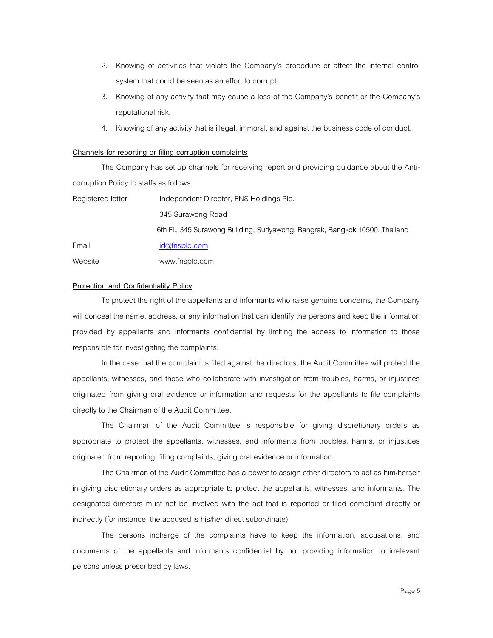- 2. Knowing of activities that violate the Company's procedure or affect the internal control system that could be seen as an effort to corrupt.
- 3. Knowing of any activity that may cause a loss of the Company's benefit or the Company's reputational risk.
- 4. Knowing of any activity that is illegal, immoral, and against the business code of conduct.

### **Channels for reporting or filing corruption complaints**

The Company has set up channels for receiving report and providing guidance about the Anticorruption Policy to staffs as follows:

| Registered letter | Independent Director, FNS Holdings Plc.                                      |
|-------------------|------------------------------------------------------------------------------|
|                   | 345 Surawong Road                                                            |
|                   | 6th Fl., 345 Surawong Building, Suriyawong, Bangrak, Bangkok 10500, Thailand |
| Email             | id@fnsplc.com                                                                |
| Website           | www.fnsplc.com                                                               |

#### **Protection and Confidentiality Policy**

To protect the right of the appellants and informants who raise genuine concerns, the Company will conceal the name, address, or any information that can identify the persons and keep the information provided by appellants and informants confidential by limiting the access to information to those responsible for investigating the complaints.

In the case that the complaint is filed against the directors, the Audit Committee will protect the appellants, witnesses, and those who collaborate with investigation from troubles, harms, or injustices originated from giving oral evidence or information and requests for the appellants to file complaints directly to the Chairman of the Audit Committee.

The Chairman of the Audit Committee is responsible for giving discretionary orders as appropriate to protect the appellants, witnesses, and informants from troubles, harms, or injustices originated from reporting, filing complaints, giving oral evidence or information.

The Chairman of the Audit Committee has a power to assign other directors to act as him/herself in giving discretionary orders as appropriate to protect the appellants, witnesses, and informants. The designated directors must not be involved with the act that is reported or filed complaint directly or indirectly (for instance, the accused is his/her direct subordinate)

The persons incharge of the complaints have to keep the information, accusations, and documents of the appellants and informants confidential by not providing information to irrelevant persons unless prescribed by laws.